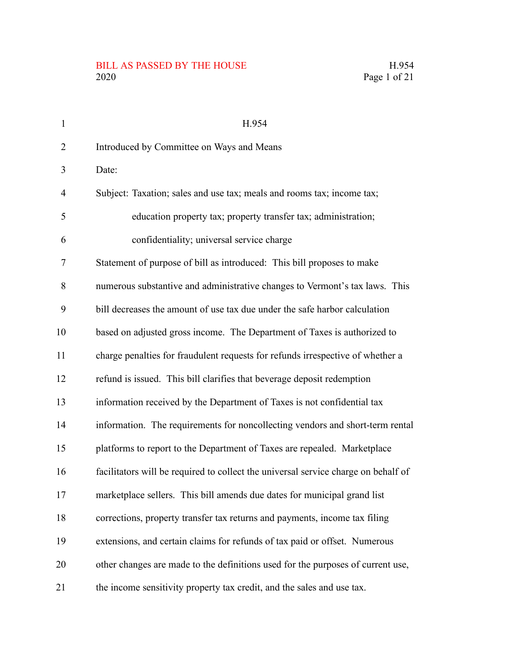| $\mathbf{1}$   | H.954                                                                              |
|----------------|------------------------------------------------------------------------------------|
| $\overline{2}$ | Introduced by Committee on Ways and Means                                          |
| 3              | Date:                                                                              |
| $\overline{4}$ | Subject: Taxation; sales and use tax; meals and rooms tax; income tax;             |
| 5              | education property tax; property transfer tax; administration;                     |
| 6              | confidentiality; universal service charge                                          |
| 7              | Statement of purpose of bill as introduced: This bill proposes to make             |
| 8              | numerous substantive and administrative changes to Vermont's tax laws. This        |
| 9              | bill decreases the amount of use tax due under the safe harbor calculation         |
| 10             | based on adjusted gross income. The Department of Taxes is authorized to           |
| 11             | charge penalties for fraudulent requests for refunds irrespective of whether a     |
| 12             | refund is issued. This bill clarifies that beverage deposit redemption             |
| 13             | information received by the Department of Taxes is not confidential tax            |
| 14             | information. The requirements for noncollecting vendors and short-term rental      |
| 15             | platforms to report to the Department of Taxes are repealed. Marketplace           |
| 16             | facilitators will be required to collect the universal service charge on behalf of |
| 17             | marketplace sellers. This bill amends due dates for municipal grand list           |
| 18             | corrections, property transfer tax returns and payments, income tax filing         |
| 19             | extensions, and certain claims for refunds of tax paid or offset. Numerous         |
| 20             | other changes are made to the definitions used for the purposes of current use,    |
| 21             | the income sensitivity property tax credit, and the sales and use tax.             |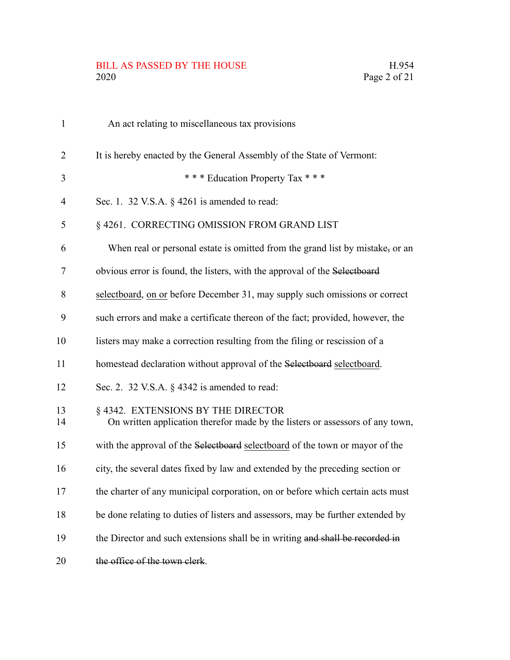# BILL AS PASSED BY THE HOUSE H.954<br>2020 Page 2 of 21

| $\mathbf{1}$   | An act relating to miscellaneous tax provisions                                                                     |
|----------------|---------------------------------------------------------------------------------------------------------------------|
| $\overline{2}$ | It is hereby enacted by the General Assembly of the State of Vermont:                                               |
| 3              | *** Education Property Tax ***                                                                                      |
| $\overline{4}$ | Sec. 1. 32 V.S.A. $\S$ 4261 is amended to read:                                                                     |
| 5              | § 4261. CORRECTING OMISSION FROM GRAND LIST                                                                         |
| 6              | When real or personal estate is omitted from the grand list by mistake, or an                                       |
| 7              | obvious error is found, the listers, with the approval of the Selectboard                                           |
| 8              | selectboard, on or before December 31, may supply such omissions or correct                                         |
| 9              | such errors and make a certificate thereon of the fact; provided, however, the                                      |
| 10             | listers may make a correction resulting from the filing or rescission of a                                          |
| 11             | homestead declaration without approval of the Selectboard selectboard.                                              |
| 12             | Sec. 2. 32 V.S.A. § 4342 is amended to read:                                                                        |
| 13<br>14       | § 4342. EXTENSIONS BY THE DIRECTOR<br>On written application therefor made by the listers or assessors of any town, |
| 15             | with the approval of the Selectboard selectboard of the town or mayor of the                                        |
| 16             | city, the several dates fixed by law and extended by the preceding section or                                       |
| 17             | the charter of any municipal corporation, on or before which certain acts must                                      |
| 18             | be done relating to duties of listers and assessors, may be further extended by                                     |
| 19             | the Director and such extensions shall be in writing and shall be recorded in                                       |
| 20             | the office of the town clerk.                                                                                       |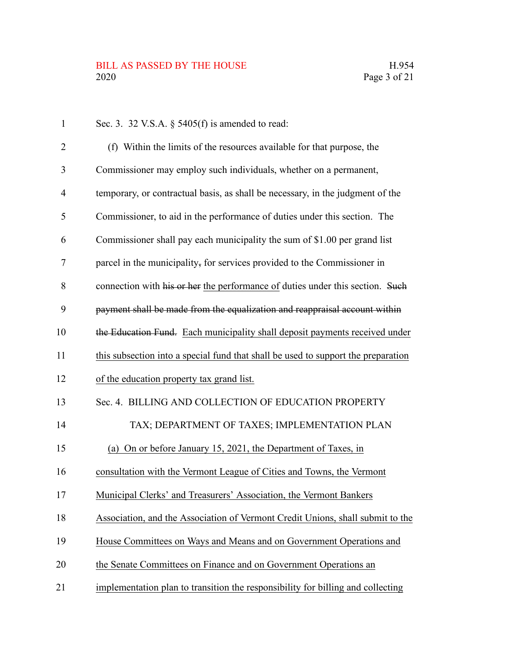| $\mathbf{1}$   | Sec. 3. 32 V.S.A. $\S$ 5405(f) is amended to read:                                |
|----------------|-----------------------------------------------------------------------------------|
| 2              | (f) Within the limits of the resources available for that purpose, the            |
| 3              | Commissioner may employ such individuals, whether on a permanent,                 |
| $\overline{4}$ | temporary, or contractual basis, as shall be necessary, in the judgment of the    |
| 5              | Commissioner, to aid in the performance of duties under this section. The         |
| 6              | Commissioner shall pay each municipality the sum of \$1.00 per grand list         |
| 7              | parcel in the municipality, for services provided to the Commissioner in          |
| 8              | connection with his or her the performance of duties under this section. Such     |
| 9              | payment shall be made from the equalization and reappraisal account within        |
| 10             | the Education Fund. Each municipality shall deposit payments received under       |
| 11             | this subsection into a special fund that shall be used to support the preparation |
| 12             | of the education property tax grand list.                                         |
| 13             | Sec. 4. BILLING AND COLLECTION OF EDUCATION PROPERTY                              |
| 14             | TAX; DEPARTMENT OF TAXES; IMPLEMENTATION PLAN                                     |
| 15             | (a) On or before January 15, 2021, the Department of Taxes, in                    |
| 16             | consultation with the Vermont League of Cities and Towns, the Vermont             |
| 17             | Municipal Clerks' and Treasurers' Association, the Vermont Bankers                |
| 18             | Association, and the Association of Vermont Credit Unions, shall submit to the    |
| 19             | House Committees on Ways and Means and on Government Operations and               |
| 20             | the Senate Committees on Finance and on Government Operations an                  |
| 21             | implementation plan to transition the responsibility for billing and collecting   |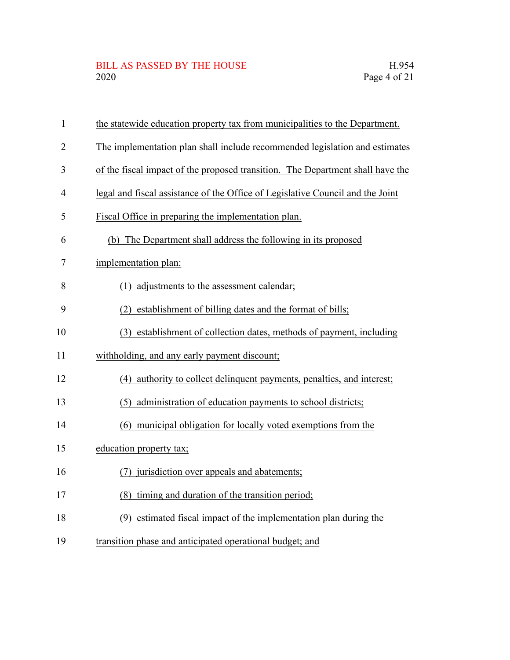| $\mathbf{1}$   | the statewide education property tax from municipalities to the Department.    |
|----------------|--------------------------------------------------------------------------------|
| $\overline{2}$ | The implementation plan shall include recommended legislation and estimates    |
| 3              | of the fiscal impact of the proposed transition. The Department shall have the |
| 4              | legal and fiscal assistance of the Office of Legislative Council and the Joint |
| 5              | Fiscal Office in preparing the implementation plan.                            |
| 6              | (b) The Department shall address the following in its proposed                 |
| 7              | implementation plan:                                                           |
| 8              | (1) adjustments to the assessment calendar;                                    |
| 9              | (2) establishment of billing dates and the format of bills;                    |
| 10             | (3) establishment of collection dates, methods of payment, including           |
| 11             | withholding, and any early payment discount;                                   |
| 12             | (4) authority to collect delinquent payments, penalties, and interest;         |
| 13             | (5) administration of education payments to school districts;                  |
| 14             | (6) municipal obligation for locally voted exemptions from the                 |
| 15             | education property tax;                                                        |
| 16             | (7) jurisdiction over appeals and abatements;                                  |
| 17             | (8) timing and duration of the transition period;                              |
| 18             | (9) estimated fiscal impact of the implementation plan during the              |
| 19             | transition phase and anticipated operational budget; and                       |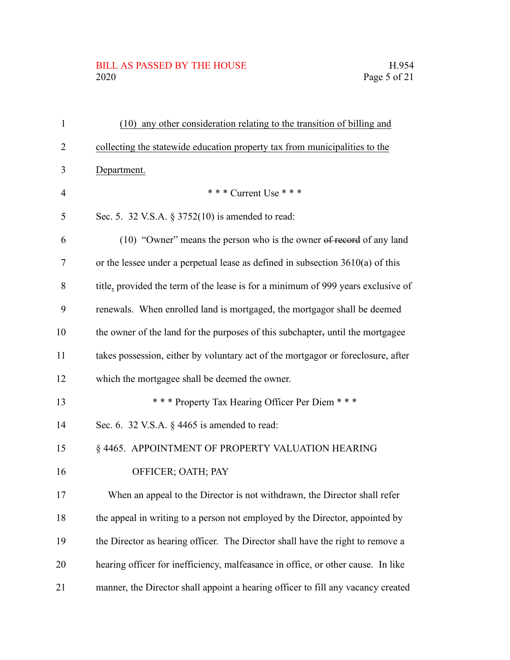#### BILL AS PASSED BY THE HOUSE H.954<br>2020 Page 5 of 21

| $\mathbf{1}$   | (10) any other consideration relating to the transition of billing and           |
|----------------|----------------------------------------------------------------------------------|
| 2              | collecting the statewide education property tax from municipalities to the       |
| 3              | Department.                                                                      |
| $\overline{4}$ | *** Current Use ***                                                              |
| 5              | Sec. 5. 32 V.S.A. § 3752(10) is amended to read:                                 |
| 6              | (10) "Owner" means the person who is the owner of record of any land             |
| 7              | or the lessee under a perpetual lease as defined in subsection $3610(a)$ of this |
| 8              | title, provided the term of the lease is for a minimum of 999 years exclusive of |
| 9              | renewals. When enrolled land is mortgaged, the mortgagor shall be deemed         |
| 10             | the owner of the land for the purposes of this subchapter, until the mortgagee   |
| 11             | takes possession, either by voluntary act of the mortgagor or foreclosure, after |
| 12             | which the mortgagee shall be deemed the owner.                                   |
| 13             | *** Property Tax Hearing Officer Per Diem ***                                    |
| 14             | Sec. 6. 32 V.S.A. $\S$ 4465 is amended to read:                                  |
| 15             | § 4465. APPOINTMENT OF PROPERTY VALUATION HEARING                                |
| 16             | OFFICER; OATH; PAY                                                               |
| 17             | When an appeal to the Director is not withdrawn, the Director shall refer        |
| 18             | the appeal in writing to a person not employed by the Director, appointed by     |
| 19             | the Director as hearing officer. The Director shall have the right to remove a   |
| 20             | hearing officer for inefficiency, malfeasance in office, or other cause. In like |
| 21             | manner, the Director shall appoint a hearing officer to fill any vacancy created |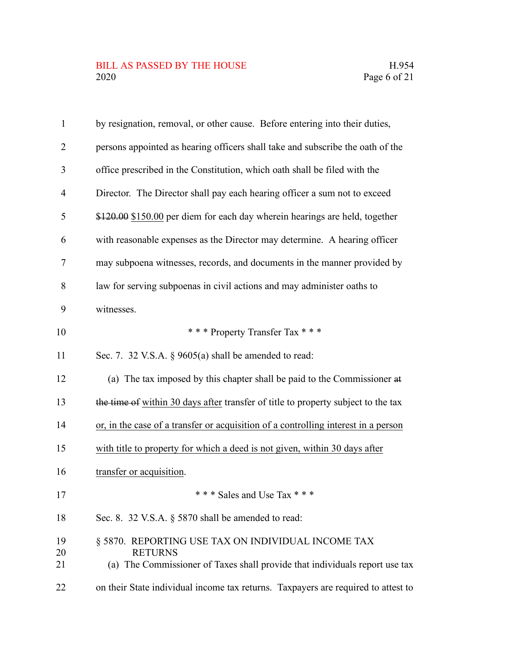| $\mathbf{1}$   | by resignation, removal, or other cause. Before entering into their duties,                                                                         |
|----------------|-----------------------------------------------------------------------------------------------------------------------------------------------------|
| $\overline{2}$ | persons appointed as hearing officers shall take and subscribe the oath of the                                                                      |
| 3              | office prescribed in the Constitution, which oath shall be filed with the                                                                           |
| $\overline{4}$ | Director. The Director shall pay each hearing officer a sum not to exceed                                                                           |
| 5              | \$120.00 \$150.00 per diem for each day wherein hearings are held, together                                                                         |
| 6              | with reasonable expenses as the Director may determine. A hearing officer                                                                           |
| 7              | may subpoena witnesses, records, and documents in the manner provided by                                                                            |
| 8              | law for serving subpoenas in civil actions and may administer oaths to                                                                              |
| 9              | witnesses.                                                                                                                                          |
| 10             | *** Property Transfer Tax ***                                                                                                                       |
| 11             | Sec. 7. 32 V.S.A. $\S$ 9605(a) shall be amended to read:                                                                                            |
| 12             | (a) The tax imposed by this chapter shall be paid to the Commissioner at                                                                            |
| 13             | the time of within 30 days after transfer of title to property subject to the tax                                                                   |
| 14             | or, in the case of a transfer or acquisition of a controlling interest in a person                                                                  |
| 15             | with title to property for which a deed is not given, within 30 days after                                                                          |
| 16             | transfer or acquisition.                                                                                                                            |
| 17             | *** Sales and Use Tax ***                                                                                                                           |
| 18             | Sec. 8. 32 V.S.A. § 5870 shall be amended to read:                                                                                                  |
| 19<br>20<br>21 | § 5870. REPORTING USE TAX ON INDIVIDUAL INCOME TAX<br><b>RETURNS</b><br>(a) The Commissioner of Taxes shall provide that individuals report use tax |
| 22             | on their State individual income tax returns. Taxpayers are required to attest to                                                                   |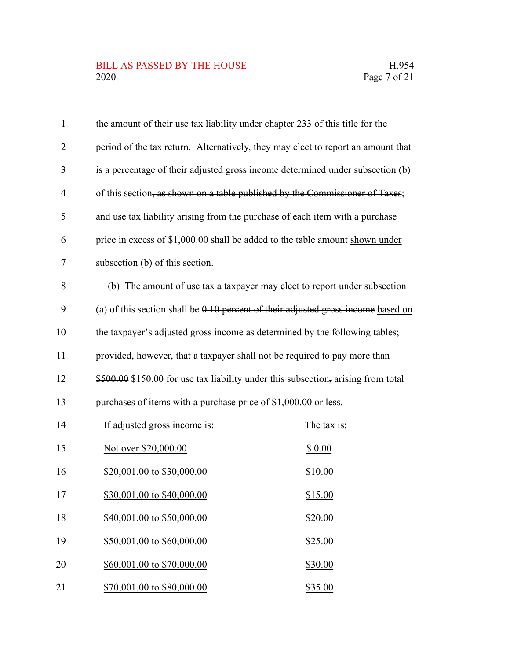## BILL AS PASSED BY THE HOUSE H.954<br>2020 Page 7 of 21

| $\mathbf{1}$   | the amount of their use tax liability under chapter 233 of this title for the     |                                                                           |
|----------------|-----------------------------------------------------------------------------------|---------------------------------------------------------------------------|
| $\overline{2}$ | period of the tax return. Alternatively, they may elect to report an amount that  |                                                                           |
| 3              | is a percentage of their adjusted gross income determined under subsection (b)    |                                                                           |
| 4              | of this section, as shown on a table published by the Commissioner of Taxes;      |                                                                           |
| 5              | and use tax liability arising from the purchase of each item with a purchase      |                                                                           |
| 6              | price in excess of \$1,000.00 shall be added to the table amount shown under      |                                                                           |
| 7              | subsection (b) of this section.                                                   |                                                                           |
| 8              |                                                                                   | (b) The amount of use tax a taxpayer may elect to report under subsection |
| 9              | (a) of this section shall be 0.10 percent of their adjusted gross income based on |                                                                           |
| 10             | the taxpayer's adjusted gross income as determined by the following tables;       |                                                                           |
| 11             | provided, however, that a taxpayer shall not be required to pay more than         |                                                                           |
| 12             | \$500.00 \$150.00 for use tax liability under this subsection, arising from total |                                                                           |
| 13             | purchases of items with a purchase price of \$1,000.00 or less.                   |                                                                           |
| 14             | If adjusted gross income is:                                                      | The tax is:                                                               |
| 15             | Not over \$20,000.00                                                              | \$0.00                                                                    |
| 16             | \$20,001.00 to \$30,000.00                                                        | \$10.00                                                                   |
| 17             | \$30,001.00 to \$40,000.00                                                        | \$15.00                                                                   |
| 18             | \$40,001.00 to \$50,000.00                                                        | \$20.00                                                                   |
| 19             | \$50,001.00 to \$60,000.00                                                        | \$25.00                                                                   |
| 20             | \$60,001.00 to \$70,000.00                                                        | \$30.00                                                                   |
| 21             | \$70,001.00 to \$80,000.00                                                        | \$35.00                                                                   |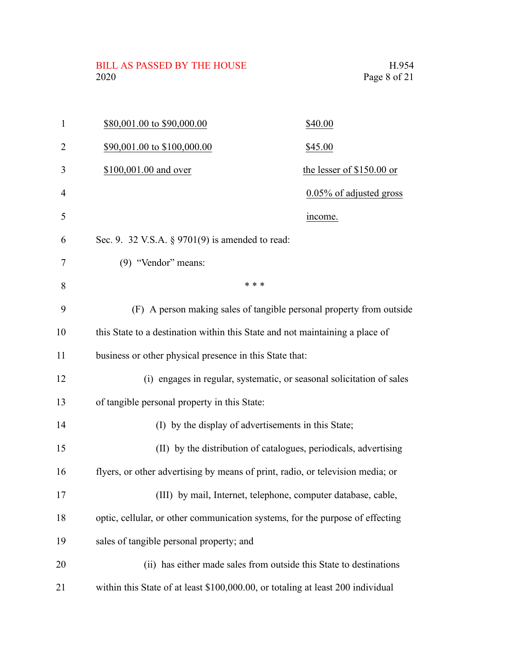BILL AS PASSED BY THE HOUSE H.954<br>2020 Page 8 of 21

| $\mathbf{1}$ | \$80,001.00 to \$90,000.00                                                      | \$40.00                                                               |
|--------------|---------------------------------------------------------------------------------|-----------------------------------------------------------------------|
| 2            | \$90,001.00 to \$100,000.00                                                     | \$45.00                                                               |
| 3            | \$100,001.00 and over                                                           | the lesser of \$150.00 or                                             |
| 4            |                                                                                 | 0.05% of adjusted gross                                               |
| 5            |                                                                                 | income.                                                               |
| 6            | Sec. 9. 32 V.S.A. $\S$ 9701(9) is amended to read:                              |                                                                       |
| 7            | (9) "Vendor" means:                                                             |                                                                       |
| 8            | * * *                                                                           |                                                                       |
| 9            |                                                                                 | (F) A person making sales of tangible personal property from outside  |
| 10           | this State to a destination within this State and not maintaining a place of    |                                                                       |
| 11           | business or other physical presence in this State that:                         |                                                                       |
| 12           |                                                                                 | (i) engages in regular, systematic, or seasonal solicitation of sales |
| 13           | of tangible personal property in this State:                                    |                                                                       |
| 14           | (I) by the display of advertisements in this State;                             |                                                                       |
| 15           |                                                                                 | (II) by the distribution of catalogues, periodicals, advertising      |
| 16           | flyers, or other advertising by means of print, radio, or television media; or  |                                                                       |
| 17           |                                                                                 | (III) by mail, Internet, telephone, computer database, cable,         |
| 18           | optic, cellular, or other communication systems, for the purpose of effecting   |                                                                       |
| 19           | sales of tangible personal property; and                                        |                                                                       |
| 20           |                                                                                 | (ii) has either made sales from outside this State to destinations    |
| 21           | within this State of at least \$100,000.00, or totaling at least 200 individual |                                                                       |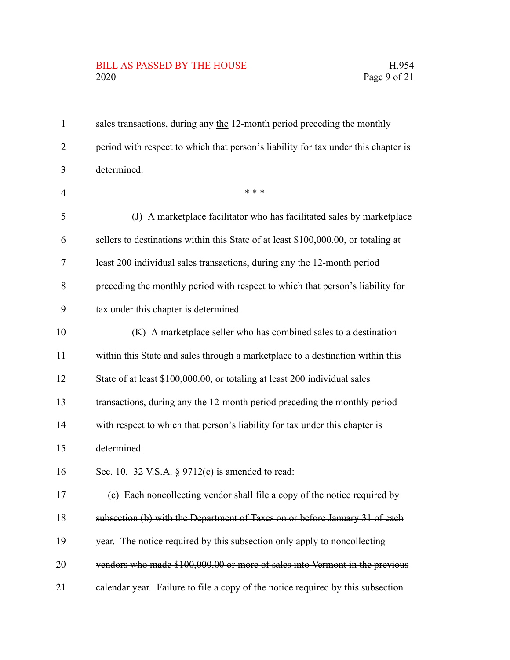### BILL AS PASSED BY THE HOUSE H.954<br>2020 Page 9 of 21

| $\mathbf{1}$   | sales transactions, during any the 12-month period preceding the monthly           |
|----------------|------------------------------------------------------------------------------------|
| 2              | period with respect to which that person's liability for tax under this chapter is |
| 3              | determined.                                                                        |
| $\overline{4}$ | * * *                                                                              |
| 5              | (J) A marketplace facilitator who has facilitated sales by marketplace             |
| 6              | sellers to destinations within this State of at least \$100,000.00, or totaling at |
| 7              | least 200 individual sales transactions, during any the 12-month period            |
| 8              | preceding the monthly period with respect to which that person's liability for     |
| 9              | tax under this chapter is determined.                                              |
| 10             | (K) A marketplace seller who has combined sales to a destination                   |
| 11             | within this State and sales through a marketplace to a destination within this     |
| 12             | State of at least \$100,000.00, or totaling at least 200 individual sales          |
| 13             | transactions, during any the 12-month period preceding the monthly period          |
| 14             | with respect to which that person's liability for tax under this chapter is        |
| 15             | determined.                                                                        |
| 16             | Sec. 10. 32 V.S.A. $\S 9712(c)$ is amended to read:                                |
| 17             | (c) Each noncollecting vendor shall file a copy of the notice required by          |
| 18             | subsection (b) with the Department of Taxes on or before January 31 of each        |
| 19             | year. The notice required by this subsection only apply to noncollecting           |
| 20             | vendors who made \$100,000.00 or more of sales into Vermont in the previous        |
| 21             | calendar year. Failure to file a copy of the notice required by this subsection    |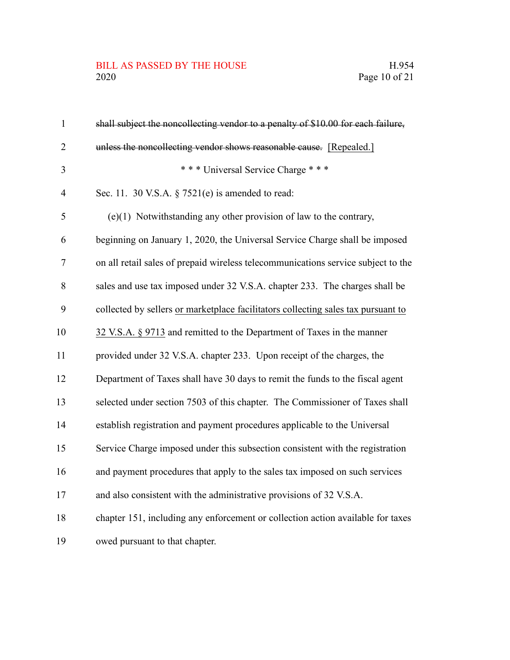## BILL AS PASSED BY THE HOUSE H.954<br>2020 Page 10 of 21

| $\mathbf{1}$   | shall subject the noncollecting vendor to a penalty of \$10.00 for each failure,  |
|----------------|-----------------------------------------------------------------------------------|
| $\overline{2}$ | unless the noncollecting vendor shows reasonable cause. [Repealed.]               |
| 3              | *** Universal Service Charge ***                                                  |
| $\overline{4}$ | Sec. 11. 30 V.S.A. $\S$ 7521(e) is amended to read:                               |
| 5              | $(e)(1)$ Notwithstanding any other provision of law to the contrary,              |
| 6              | beginning on January 1, 2020, the Universal Service Charge shall be imposed       |
| $\tau$         | on all retail sales of prepaid wireless telecommunications service subject to the |
| 8              | sales and use tax imposed under 32 V.S.A. chapter 233. The charges shall be       |
| 9              | collected by sellers or marketplace facilitators collecting sales tax pursuant to |
| 10             | 32 V.S.A. § 9713 and remitted to the Department of Taxes in the manner            |
| 11             | provided under 32 V.S.A. chapter 233. Upon receipt of the charges, the            |
| 12             | Department of Taxes shall have 30 days to remit the funds to the fiscal agent     |
| 13             | selected under section 7503 of this chapter. The Commissioner of Taxes shall      |
| 14             | establish registration and payment procedures applicable to the Universal         |
| 15             | Service Charge imposed under this subsection consistent with the registration     |
| 16             | and payment procedures that apply to the sales tax imposed on such services       |
| 17             | and also consistent with the administrative provisions of 32 V.S.A.               |
| 18             | chapter 151, including any enforcement or collection action available for taxes   |
| 19             | owed pursuant to that chapter.                                                    |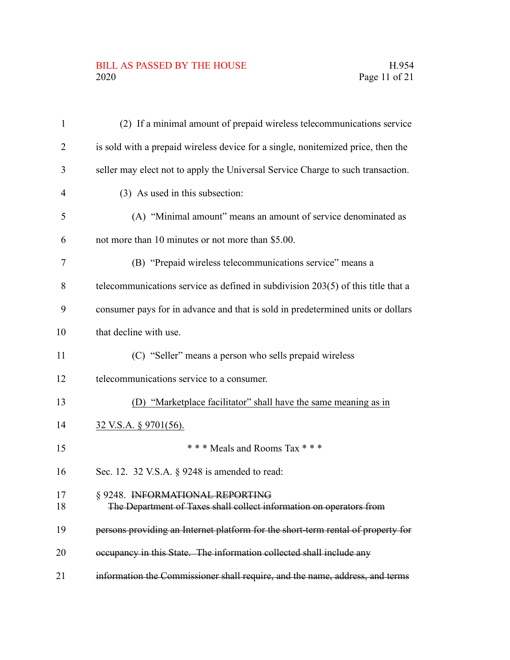#### BILL AS PASSED BY THE HOUSE H.954<br>2020 Page 11 of 21

| $\mathbf{1}$   | (2) If a minimal amount of prepaid wireless telecommunications service                                 |
|----------------|--------------------------------------------------------------------------------------------------------|
| 2              | is sold with a prepaid wireless device for a single, nonitemized price, then the                       |
| 3              | seller may elect not to apply the Universal Service Charge to such transaction.                        |
| $\overline{4}$ | (3) As used in this subsection:                                                                        |
| 5              | (A) "Minimal amount" means an amount of service denominated as                                         |
| 6              | not more than 10 minutes or not more than \$5.00.                                                      |
| 7              | (B) "Prepaid wireless telecommunications service" means a                                              |
| 8              | telecommunications service as defined in subdivision $203(5)$ of this title that a                     |
| 9              | consumer pays for in advance and that is sold in predetermined units or dollars                        |
| 10             | that decline with use.                                                                                 |
| 11             | (C) "Seller" means a person who sells prepaid wireless                                                 |
| 12             | telecommunications service to a consumer.                                                              |
| 13             | (D) "Marketplace facilitator" shall have the same meaning as in                                        |
| 14             | <u>32 V.S.A. § 9701(56).</u>                                                                           |
| 15             | *** Meals and Rooms Tax ***                                                                            |
| 16             | Sec. 12. 32 V.S.A. § 9248 is amended to read:                                                          |
| 17<br>18       | § 9248. INFORMATIONAL REPORTING<br>The Department of Taxes shall collect information on operators from |
| 19             | persons providing an Internet platform for the short-term rental of property for                       |
| 20             | occupancy in this State. The information collected shall include any                                   |
| 21             | information the Commissioner shall require, and the name, address, and terms                           |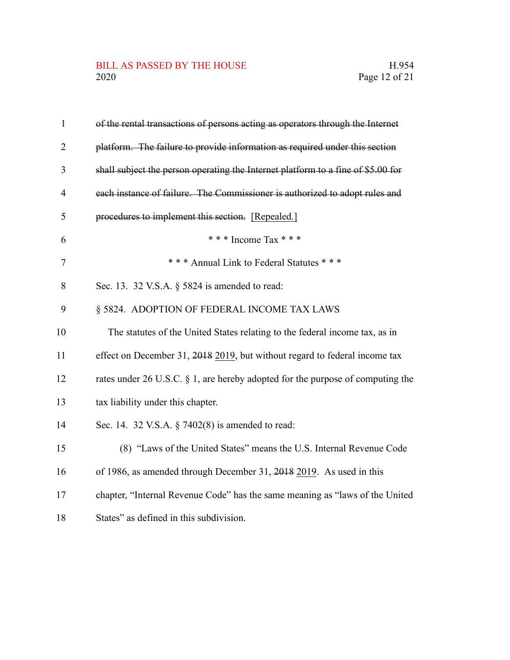| $\mathbf{1}$   | of the rental transactions of persons acting as operators through the Internet    |
|----------------|-----------------------------------------------------------------------------------|
| $\overline{2}$ | platform. The failure to provide information as required under this section       |
| 3              | shall subject the person operating the Internet platform to a fine of \$5.00 for  |
| 4              | each instance of failure. The Commissioner is authorized to adopt rules and       |
| 5              | procedures to implement this section. [Repealed.]                                 |
| 6              | *** Income Tax ***                                                                |
| $\overline{7}$ | *** Annual Link to Federal Statutes ***                                           |
| 8              | Sec. 13. 32 V.S.A. § 5824 is amended to read:                                     |
| 9              | § 5824. ADOPTION OF FEDERAL INCOME TAX LAWS                                       |
| 10             | The statutes of the United States relating to the federal income tax, as in       |
| 11             | effect on December 31, 2018 2019, but without regard to federal income tax        |
| 12             | rates under 26 U.S.C. $\S$ 1, are hereby adopted for the purpose of computing the |
| 13             | tax liability under this chapter.                                                 |
| 14             | Sec. 14. 32 V.S.A. § 7402(8) is amended to read:                                  |
| 15             | (8) "Laws of the United States" means the U.S. Internal Revenue Code              |
| 16             | of 1986, as amended through December 31, 2018 2019. As used in this               |
| 17             | chapter, "Internal Revenue Code" has the same meaning as "laws of the United      |
| 18             | States" as defined in this subdivision.                                           |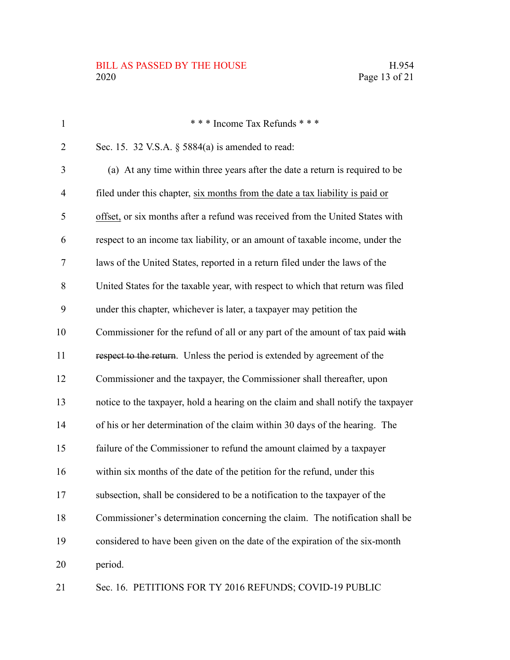#### BILL AS PASSED BY THE HOUSE H.954 2020 Page 13 of 21

| $\mathbf{1}$   | *** Income Tax Refunds ***                                                        |
|----------------|-----------------------------------------------------------------------------------|
| $\overline{2}$ | Sec. 15. 32 V.S.A. § 5884(a) is amended to read:                                  |
| 3              | (a) At any time within three years after the date a return is required to be      |
| 4              | filed under this chapter, six months from the date a tax liability is paid or     |
| 5              | offset, or six months after a refund was received from the United States with     |
| 6              | respect to an income tax liability, or an amount of taxable income, under the     |
| 7              | laws of the United States, reported in a return filed under the laws of the       |
| 8              | United States for the taxable year, with respect to which that return was filed   |
| 9              | under this chapter, whichever is later, a taxpayer may petition the               |
| 10             | Commissioner for the refund of all or any part of the amount of tax paid with     |
| 11             | respect to the return. Unless the period is extended by agreement of the          |
| 12             | Commissioner and the taxpayer, the Commissioner shall thereafter, upon            |
| 13             | notice to the taxpayer, hold a hearing on the claim and shall notify the taxpayer |
| 14             | of his or her determination of the claim within 30 days of the hearing. The       |
| 15             | failure of the Commissioner to refund the amount claimed by a taxpayer            |
| 16             | within six months of the date of the petition for the refund, under this          |
| 17             | subsection, shall be considered to be a notification to the taxpayer of the       |
| 18             | Commissioner's determination concerning the claim. The notification shall be      |
| 19             | considered to have been given on the date of the expiration of the six-month      |
| 20             | period.                                                                           |
|                |                                                                                   |

Sec. 16. PETITIONS FOR TY 2016 REFUNDS; COVID-19 PUBLIC 21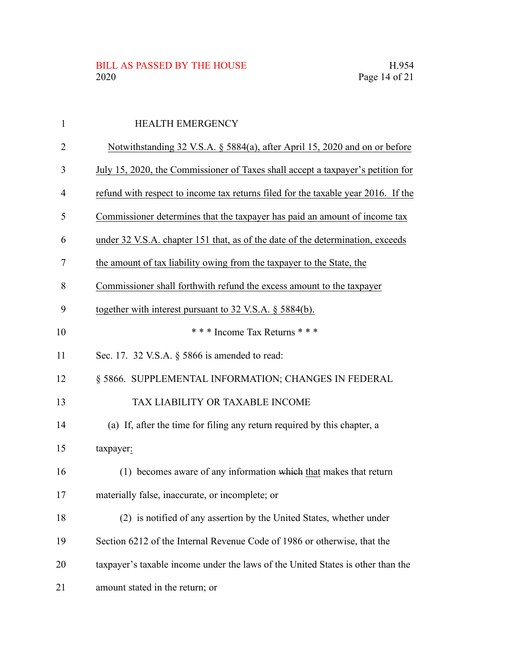| $\mathbf{1}$   | <b>HEALTH EMERGENCY</b>                                                           |
|----------------|-----------------------------------------------------------------------------------|
| $\overline{2}$ | Notwithstanding 32 V.S.A. § 5884(a), after April 15, 2020 and on or before        |
| 3              | July 15, 2020, the Commissioner of Taxes shall accept a taxpayer's petition for   |
| $\overline{4}$ | refund with respect to income tax returns filed for the taxable year 2016. If the |
| 5              | Commissioner determines that the taxpayer has paid an amount of income tax        |
| 6              | under 32 V.S.A. chapter 151 that, as of the date of the determination, exceeds    |
| 7              | the amount of tax liability owing from the taxpayer to the State, the             |
| 8              | Commissioner shall forthwith refund the excess amount to the taxpayer             |
| 9              | together with interest pursuant to 32 V.S.A. § 5884(b).                           |
| 10             | *** Income Tax Returns ***                                                        |
| 11             | Sec. 17. 32 V.S.A. § 5866 is amended to read:                                     |
| 12             | § 5866. SUPPLEMENTAL INFORMATION; CHANGES IN FEDERAL                              |
| 13             | TAX LIABILITY OR TAXABLE INCOME                                                   |
| 14             | (a) If, after the time for filing any return required by this chapter, a          |
| 15             | taxpayer:                                                                         |
| 16             | (1) becomes aware of any information which that makes that return                 |
| 17             | materially false, inaccurate, or incomplete; or                                   |
| 18             | (2) is notified of any assertion by the United States, whether under              |
| 19             | Section 6212 of the Internal Revenue Code of 1986 or otherwise, that the          |
| 20             | taxpayer's taxable income under the laws of the United States is other than the   |
| 21             | amount stated in the return; or                                                   |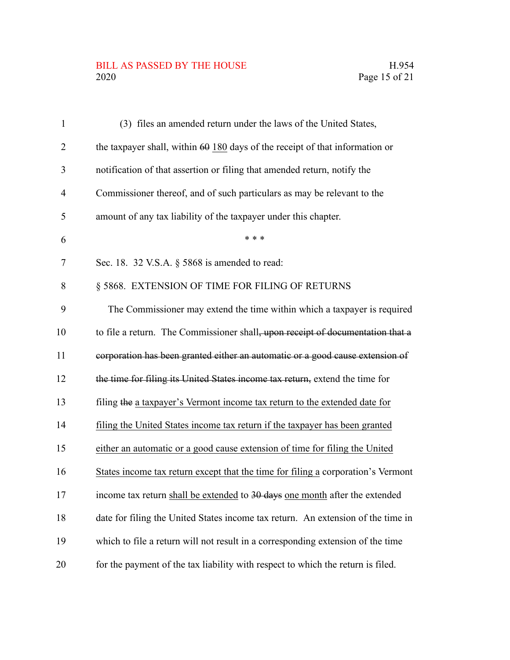# BILL AS PASSED BY THE HOUSE H.954<br>2020 Page 15 of 21

| $\mathbf{1}$   | (3) files an amended return under the laws of the United States,                 |
|----------------|----------------------------------------------------------------------------------|
| $\overline{2}$ | the taxpayer shall, within $60$ 180 days of the receipt of that information or   |
| 3              | notification of that assertion or filing that amended return, notify the         |
| $\overline{4}$ | Commissioner thereof, and of such particulars as may be relevant to the          |
| 5              | amount of any tax liability of the taxpayer under this chapter.                  |
| 6              | * * *                                                                            |
| 7              | Sec. 18. 32 V.S.A. § 5868 is amended to read:                                    |
| 8              | § 5868. EXTENSION OF TIME FOR FILING OF RETURNS                                  |
| 9              | The Commissioner may extend the time within which a taxpayer is required         |
| 10             | to file a return. The Commissioner shall, upon receipt of documentation that a   |
| 11             | corporation has been granted either an automatic or a good cause extension of    |
| 12             | the time for filing its United States income tax return, extend the time for     |
| 13             | filing the a taxpayer's Vermont income tax return to the extended date for       |
| 14             | filing the United States income tax return if the taxpayer has been granted      |
| 15             | either an automatic or a good cause extension of time for filing the United      |
| 16             | States income tax return except that the time for filing a corporation's Vermont |
| 17             | income tax return shall be extended to 30 days one month after the extended      |
| 18             | date for filing the United States income tax return. An extension of the time in |
| 19             | which to file a return will not result in a corresponding extension of the time  |
| 20             | for the payment of the tax liability with respect to which the return is filed.  |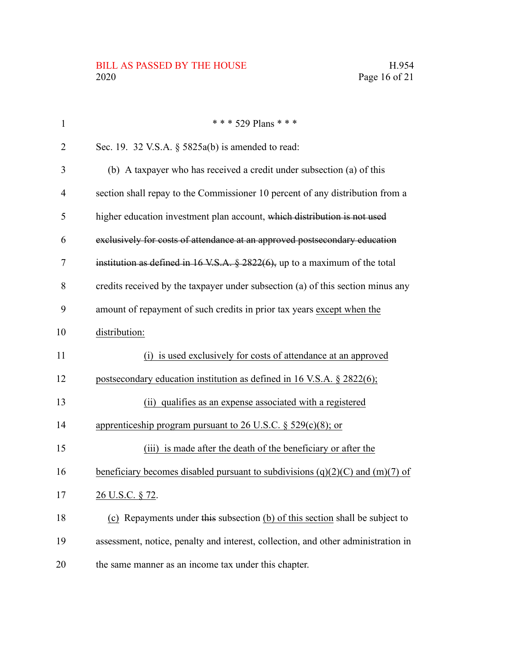| $\mathbf{1}$   | * * * 529 Plans * * *                                                             |
|----------------|-----------------------------------------------------------------------------------|
| 2              | Sec. 19. 32 V.S.A. $\S$ 5825a(b) is amended to read:                              |
| 3              | (b) A taxpayer who has received a credit under subsection (a) of this             |
| $\overline{4}$ | section shall repay to the Commissioner 10 percent of any distribution from a     |
| 5              | higher education investment plan account, which distribution is not used          |
| 6              | exclusively for costs of attendance at an approved postsecondary education        |
| 7              | institution as defined in $16$ V.S.A. § 2822(6), up to a maximum of the total     |
| 8              | credits received by the taxpayer under subsection (a) of this section minus any   |
| 9              | amount of repayment of such credits in prior tax years except when the            |
| 10             | distribution:                                                                     |
| 11             | (i) is used exclusively for costs of attendance at an approved                    |
| 12             | postsecondary education institution as defined in 16 V.S.A. $\S$ 2822(6);         |
| 13             | (ii) qualifies as an expense associated with a registered                         |
| 14             | apprenticeship program pursuant to 26 U.S.C. § 529(c)(8); or                      |
| 15             | (iii) is made after the death of the beneficiary or after the                     |
| 16             | beneficiary becomes disabled pursuant to subdivisions $(q)(2)(C)$ and $(m)(7)$ of |
| 17             | 26 U.S.C. § 72.                                                                   |
| 18             | (c) Repayments under this subsection (b) of this section shall be subject to      |
| 19             | assessment, notice, penalty and interest, collection, and other administration in |
| 20             | the same manner as an income tax under this chapter.                              |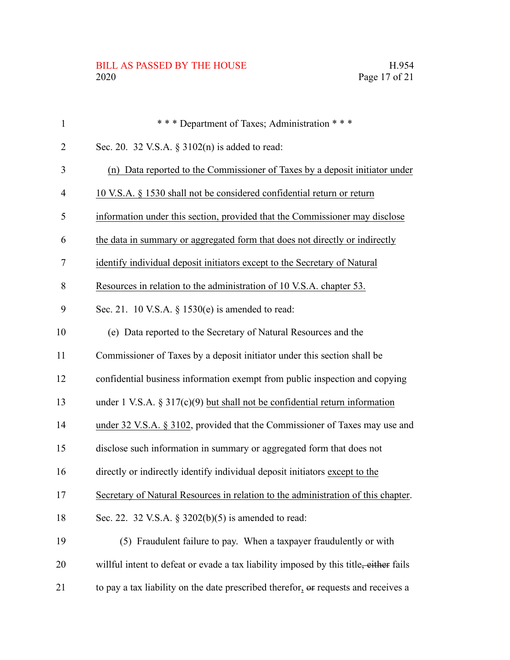| $\mathbf{1}$   | *** Department of Taxes; Administration ***                                           |
|----------------|---------------------------------------------------------------------------------------|
| $\overline{2}$ | Sec. 20. 32 V.S.A. § 3102(n) is added to read:                                        |
| 3              | (n) Data reported to the Commissioner of Taxes by a deposit initiator under           |
| $\overline{4}$ | 10 V.S.A. § 1530 shall not be considered confidential return or return                |
| 5              | information under this section, provided that the Commissioner may disclose           |
| 6              | the data in summary or aggregated form that does not directly or indirectly           |
| $\tau$         | identify individual deposit initiators except to the Secretary of Natural             |
| 8              | Resources in relation to the administration of 10 V.S.A. chapter 53.                  |
| 9              | Sec. 21. 10 V.S.A. $\S$ 1530(e) is amended to read:                                   |
| 10             | (e) Data reported to the Secretary of Natural Resources and the                       |
| 11             | Commissioner of Taxes by a deposit initiator under this section shall be              |
| 12             | confidential business information exempt from public inspection and copying           |
| 13             | under 1 V.S.A. $\S 317(c)(9)$ but shall not be confidential return information        |
| 14             | under 32 V.S.A. § 3102, provided that the Commissioner of Taxes may use and           |
| 15             | disclose such information in summary or aggregated form that does not                 |
| 16             | directly or indirectly identify individual deposit initiators except to the           |
| 17             | Secretary of Natural Resources in relation to the administration of this chapter.     |
| 18             | Sec. 22. 32 V.S.A. § 3202(b)(5) is amended to read:                                   |
| 19             | (5) Fraudulent failure to pay. When a taxpayer fraudulently or with                   |
| 20             | willful intent to defeat or evade a tax liability imposed by this title, either fails |
| 21             | to pay a tax liability on the date prescribed therefor, or requests and receives a    |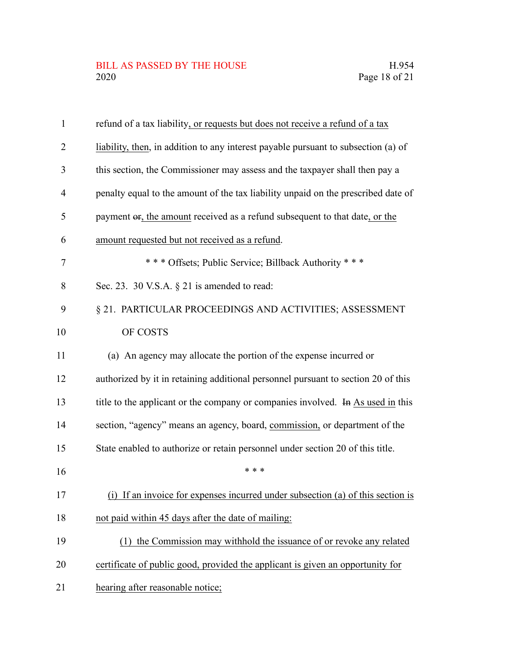| $\mathbf{1}$   | refund of a tax liability, or requests but does not receive a refund of a tax      |
|----------------|------------------------------------------------------------------------------------|
| $\overline{2}$ | liability, then, in addition to any interest payable pursuant to subsection (a) of |
| 3              | this section, the Commissioner may assess and the taxpayer shall then pay a        |
| $\overline{4}$ | penalty equal to the amount of the tax liability unpaid on the prescribed date of  |
| 5              | payment or, the amount received as a refund subsequent to that date, or the        |
| 6              | amount requested but not received as a refund.                                     |
| 7              | *** Offsets; Public Service; Billback Authority ***                                |
| 8              | Sec. 23. 30 V.S.A. $\S$ 21 is amended to read:                                     |
| 9              | § 21. PARTICULAR PROCEEDINGS AND ACTIVITIES; ASSESSMENT                            |
| 10             | OF COSTS                                                                           |
| 11             | (a) An agency may allocate the portion of the expense incurred or                  |
| 12             | authorized by it in retaining additional personnel pursuant to section 20 of this  |
| 13             | title to the applicant or the company or companies involved. In As used in this    |
| 14             | section, "agency" means an agency, board, commission, or department of the         |
| 15             | State enabled to authorize or retain personnel under section 20 of this title.     |
| 16             | * * *                                                                              |
| 17             | (i)<br>If an invoice for expenses incurred under subsection (a) of this section is |
| 18             | not paid within 45 days after the date of mailing:                                 |
| 19             | (1) the Commission may withhold the issuance of or revoke any related              |
| 20             | certificate of public good, provided the applicant is given an opportunity for     |
| 21             | hearing after reasonable notice;                                                   |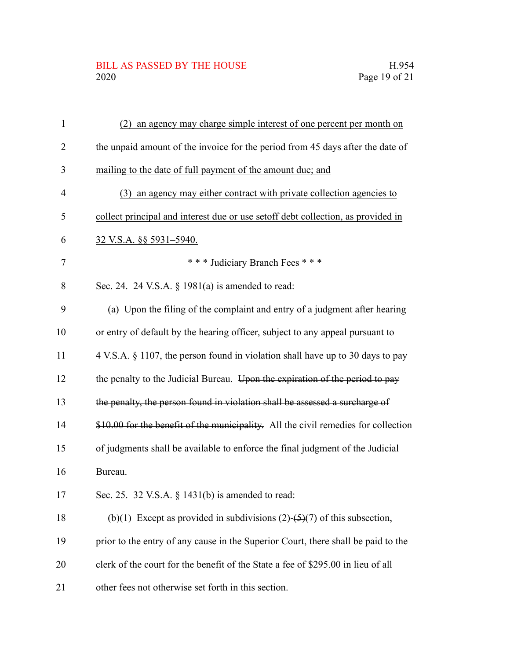| $\mathbf{1}$   | an agency may charge simple interest of one percent per month on<br>(2)            |
|----------------|------------------------------------------------------------------------------------|
| $\overline{2}$ | the unpaid amount of the invoice for the period from 45 days after the date of     |
| 3              | mailing to the date of full payment of the amount due; and                         |
| $\overline{4}$ | an agency may either contract with private collection agencies to<br>(3)           |
| 5              | collect principal and interest due or use setoff debt collection, as provided in   |
| 6              | 32 V.S.A. §§ 5931–5940.                                                            |
| 7              | *** Judiciary Branch Fees ***                                                      |
| 8              | Sec. 24. 24 V.S.A. $\S$ 1981(a) is amended to read:                                |
| 9              | (a) Upon the filing of the complaint and entry of a judgment after hearing         |
| 10             | or entry of default by the hearing officer, subject to any appeal pursuant to      |
| 11             | 4 V.S.A. § 1107, the person found in violation shall have up to 30 days to pay     |
| 12             | the penalty to the Judicial Bureau. Upon the expiration of the period to pay       |
| 13             | the penalty, the person found in violation shall be assessed a surcharge of        |
| 14             | \$10.00 for the benefit of the municipality. All the civil remedies for collection |
| 15             | of judgments shall be available to enforce the final judgment of the Judicial      |
| 16             | Bureau.                                                                            |
| 17             | Sec. 25. 32 V.S.A. § 1431(b) is amended to read:                                   |
| 18             | (b)(1) Except as provided in subdivisions $(2)$ - $(5)$ $(7)$ of this subsection,  |
| 19             | prior to the entry of any cause in the Superior Court, there shall be paid to the  |
| 20             | clerk of the court for the benefit of the State a fee of \$295.00 in lieu of all   |
| 21             | other fees not otherwise set forth in this section.                                |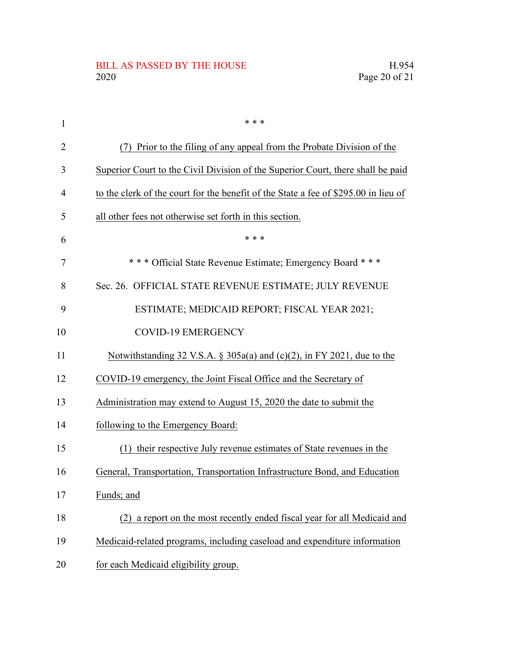| 1              | * * *                                                                               |
|----------------|-------------------------------------------------------------------------------------|
| $\overline{2}$ | Prior to the filing of any appeal from the Probate Division of the<br>(7)           |
| 3              | Superior Court to the Civil Division of the Superior Court, there shall be paid     |
| 4              | to the clerk of the court for the benefit of the State a fee of \$295.00 in lieu of |
| 5              | all other fees not otherwise set forth in this section.                             |
| 6              | * * *                                                                               |
| 7              | *** Official State Revenue Estimate; Emergency Board ***                            |
| 8              | Sec. 26. OFFICIAL STATE REVENUE ESTIMATE; JULY REVENUE                              |
| 9              | ESTIMATE; MEDICAID REPORT; FISCAL YEAR 2021;                                        |
| 10             | <b>COVID-19 EMERGENCY</b>                                                           |
| 11             | Notwithstanding 32 V.S.A. § 305a(a) and $(c)(2)$ , in FY 2021, due to the           |
| 12             | COVID-19 emergency, the Joint Fiscal Office and the Secretary of                    |
| 13             | Administration may extend to August 15, 2020 the date to submit the                 |
| 14             | following to the Emergency Board:                                                   |
| 15             | (1) their respective July revenue estimates of State revenues in the                |
| 16             | General, Transportation, Transportation Infrastructure Bond, and Education          |
| 17             | Funds; and                                                                          |
| 18             | a report on the most recently ended fiscal year for all Medicaid and<br>(2)         |
| 19             | Medicaid-related programs, including caseload and expenditure information           |
| 20             | for each Medicaid eligibility group.                                                |